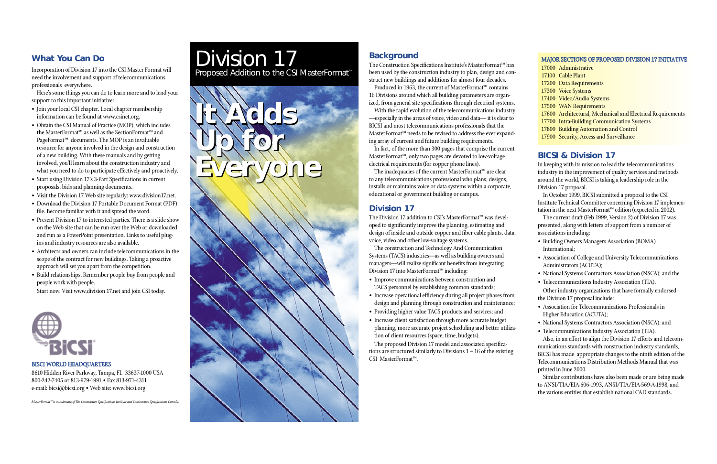- 17000 Administrative
- 17100 Cable Plant
- 17200 Data Requirements
- 17300 Voice Systems
- <sup>17400</sup> Video/Audio Systems
- 17500 WAN Requirements
- <sup>17600</sup> Architectural, Mechanical and Electrical Requirements
- <sup>17700</sup> Intra-Building Communication Systems
- <sup>17800</sup> Building Automation and Control
- <sup>17900</sup> Security, Access and Surveillance

# Division 17 Proposed Addition to the CSI MasterFormat ™

**Up for**

**It Adds It Adds**

**Everyone Everyone**

**Up for**

*MasterFormat™ is a trademark of The Construction Specifications Institute and Construction Specifications Canada.*

8610 Hidden River Parkway, Tampa, FL 33637-1000 USA 800-242-7405 or 813-979-1991 • Fax 813-971-4311 e-mail: bicsi@bicsi.org • Web site: www.bicsi.org

**Background**

The Construction Specifications Institute's MasterFormat™ has been used by the construction industry to plan, design and construct new buildings and additions for almost four decades.

Produced in 1963, the current of MasterFormat™ contains 16 Divisions around which all building parameters are organized, from general site specifications through electrical systems.

With the rapid evolution of the telecommunications industry —especially in the areas of voice, video and data— it is clear to BICSI and most telecommunications professionals that the MasterFormat™ needs to be revised to address the ever expanding array of current and future building requirements.

In fact, of the more than 300 pages that comprise the current MasterFormat™, only two pages are devoted to low-voltage electrical requirements (for copper phone lines).

The inadequacies of the current MasterFormat™ are clear to any telecommunications professional who plans, designs, installs or maintains voice or data systems within a corporate, educational or government building or campus.

# **Division 17**

The Division 17 addition to CSI's MasterFormat™ was developed to significantly improve the planning, estimating and design of inside and outside copper and fiber cable plants, data, voice, video and other low-voltage systems.

The construction and Technology And Communication Systems (TACS) industries—as well as building owners and managers—will realize significant benefits from integrating Division 17 into MasterFormat™ including:

- Improve communications between construction and TACS personnel by establishing common standards;
- Increase operational efficiency during all project phases from design and planning through construction and maintenance;
- Providing higher value TACS products and services; and
- Increase client satisfaction through more accurate budget planning, more accurate project scheduling and better utilization of client resources (space, time, budgets).

The proposed Division 17 model and associated specifications are structured similarly to Divisions 1 – 16 of the existing CSI MasterFormat™.

#### MAJOR SECTIONS OF PROPOSED DIVISION 17 INITIATIVE

## **What You Can Do**

Incorporation of Division 17 into the CSI Master Format will need the involvement and support of telecommunications professionals everywhere.

Here's some things you can do to learn more and to lend your support to this important initiative:

- Join your local CSI chapter. Local chapter membership information can be found at www.csinet.org.
- Obtain the CSI Manual of Practice (MOP), which includes the MasterFormat™ as well as the SectionFormat™ and PageFormat™ documents. The MOP is an invaluable resource for anyone involved in the design and construction of a new building. With these manuals and by getting involved, you'll learn about the construction industry and what you need to do to participate effectively and proactively.
- Start using Division 17's 3-Part Specifications in current proposals, bids and planning documents.
- Visit the Division 17 Web site regularly: www.division17.net.
- Download the Division 17 Portable Document Format (PDF) file. Become familiar with it and spread the word.
- Present Division 17 to interested parties. There is a slide show on the Web site that can be run over the Web or downloaded and run as a PowerPoint presentation. Links to useful plugins and industry resources are also available.
- Architects and owners can include telecommunications in the scope of the contract for new buildings. Taking a proactive approach will set you apart from the competition.
- Build relationships. Remember people buy from people and people work with people.

Start now. Visit www.division 17.net and join CSI today.



### BISCI WORLD HEADQUARTERS

## **BICSI & Division 17**

In keeping with its mission to lead the telecommunications industry in the improvement of quality services and methods around the world, BICSI is taking a leadership role in the Division 17 proposal.

In October 1999, BICSI submitted a proposal to the CSI Institute Technical Committee concerning Division 17 implementation in the next MasterFormat™ edition (expected in 2002).

The current draft (Feb 1999, Version 2) of Division 17 was presented, along with letters of support from a number of associations including:

- Building Owners Managers Association (BOMA) International;
- Association of College and University Telecommunications Administrators (ACUTA);
- National Systems Contractors Association (NSCA); and the
- Telecommunications Industry Association (TIA). Other industry organizations that have formally endorsed the Division 17 proposal include:
- Association for Telecommunications Professionals in Higher Education (ACUTA);
- National Systems Contractors Association (NSCA); and

• Telecommunications Industry Association (TIA). Also, in an effort to align the Division 17 efforts and telecommunications standards with construction industry standards, BICSI has made appropriate changes to the ninth edition of the Telecommunications Distribution Methods Manual that was printed in June 2000.

Similar contributions have also been made or are being made to ANSI/TIA/EIA-606-1993, ANSI/TIA/EIA-569-A-1998, and the various entities that establish national CAD standards.